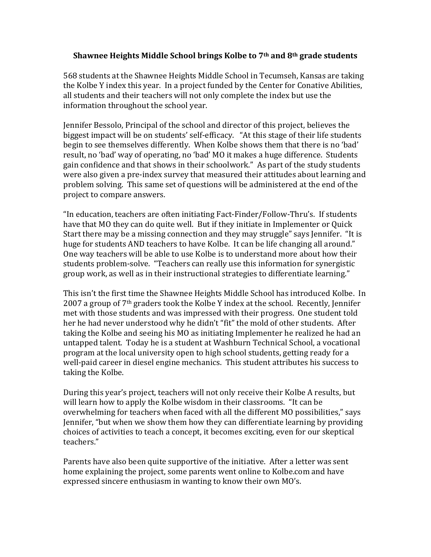## **Shawnee Heights Middle School brings Kolbe to 7th and 8th grade students**

568 students at the Shawnee Heights Middle School in Tecumseh, Kansas are taking the Kolbe Y index this year. In a project funded by the Center for Conative Abilities, all students and their teachers will not only complete the index but use the information throughout the school year.

Jennifer Bessolo, Principal of the school and director of this project, believes the biggest impact will be on students' self-efficacy. "At this stage of their life students begin to see themselves differently. When Kolbe shows them that there is no 'bad' result, no 'bad' way of operating, no 'bad' MO it makes a huge difference. Students gain confidence and that shows in their schoolwork." As part of the study students were also given a pre-index survey that measured their attitudes about learning and problem solving. This same set of questions will be administered at the end of the project to compare answers.

"In education, teachers are often initiating Fact-Finder/Follow-Thru's. If students have that MO they can do quite well. But if they initiate in Implementer or Quick Start there may be a missing connection and they may struggle" says Jennifer. "It is huge for students AND teachers to have Kolbe. It can be life changing all around." One way teachers will be able to use Kolbe is to understand more about how their students problem-solve. "Teachers can really use this information for synergistic group work, as well as in their instructional strategies to differentiate learning."

This isn't the first time the Shawnee Heights Middle School has introduced Kolbe. In 2007 a group of  $7<sup>th</sup>$  graders took the Kolbe Y index at the school. Recently, Jennifer met with those students and was impressed with their progress. One student told her he had never understood why he didn't "fit" the mold of other students. After taking the Kolbe and seeing his MO as initiating Implementer he realized he had an untapped talent. Today he is a student at Washburn Technical School, a vocational program at the local university open to high school students, getting ready for a well-paid career in diesel engine mechanics. This student attributes his success to taking the Kolbe.

During this year's project, teachers will not only receive their Kolbe A results, but will learn how to apply the Kolbe wisdom in their classrooms. "It can be overwhelming for teachers when faced with all the different MO possibilities," says Jennifer, "but when we show them how they can differentiate learning by providing choices of activities to teach a concept, it becomes exciting, even for our skeptical teachers."

Parents have also been quite supportive of the initiative. After a letter was sent home explaining the project, some parents went online to Kolbe.com and have expressed sincere enthusiasm in wanting to know their own MO's.